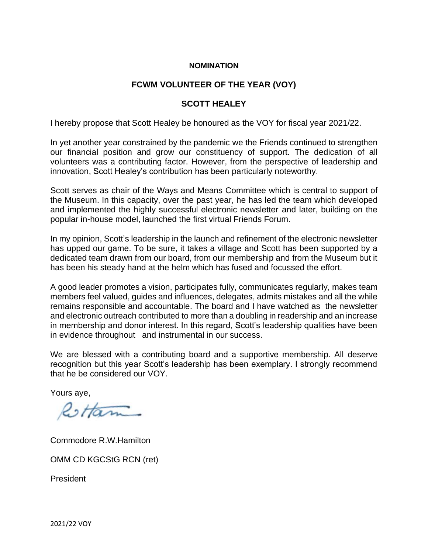## **NOMINATION**

## **FCWM VOLUNTEER OF THE YEAR (VOY)**

## **SCOTT HEALEY**

I hereby propose that Scott Healey be honoured as the VOY for fiscal year 2021/22.

In yet another year constrained by the pandemic we the Friends continued to strengthen our financial position and grow our constituency of support. The dedication of all volunteers was a contributing factor. However, from the perspective of leadership and innovation, Scott Healey's contribution has been particularly noteworthy.

Scott serves as chair of the Ways and Means Committee which is central to support of the Museum. In this capacity, over the past year, he has led the team which developed and implemented the highly successful electronic newsletter and later, building on the popular in-house model, launched the first virtual Friends Forum.

In my opinion, Scott's leadership in the launch and refinement of the electronic newsletter has upped our game. To be sure, it takes a village and Scott has been supported by a dedicated team drawn from our board, from our membership and from the Museum but it has been his steady hand at the helm which has fused and focussed the effort.

A good leader promotes a vision, participates fully, communicates regularly, makes team members feel valued, guides and influences, delegates, admits mistakes and all the while remains responsible and accountable. The board and I have watched as the newsletter and electronic outreach contributed to more than a doubling in readership and an increase in membership and donor interest. In this regard, Scott's leadership qualities have been in evidence throughout and instrumental in our success.

We are blessed with a contributing board and a supportive membership. All deserve recognition but this year Scott's leadership has been exemplary. I strongly recommend that he be considered our VOY.

Yours aye,

Restan

Commodore R.W.Hamilton

OMM CD KGCStG RCN (ret)

President